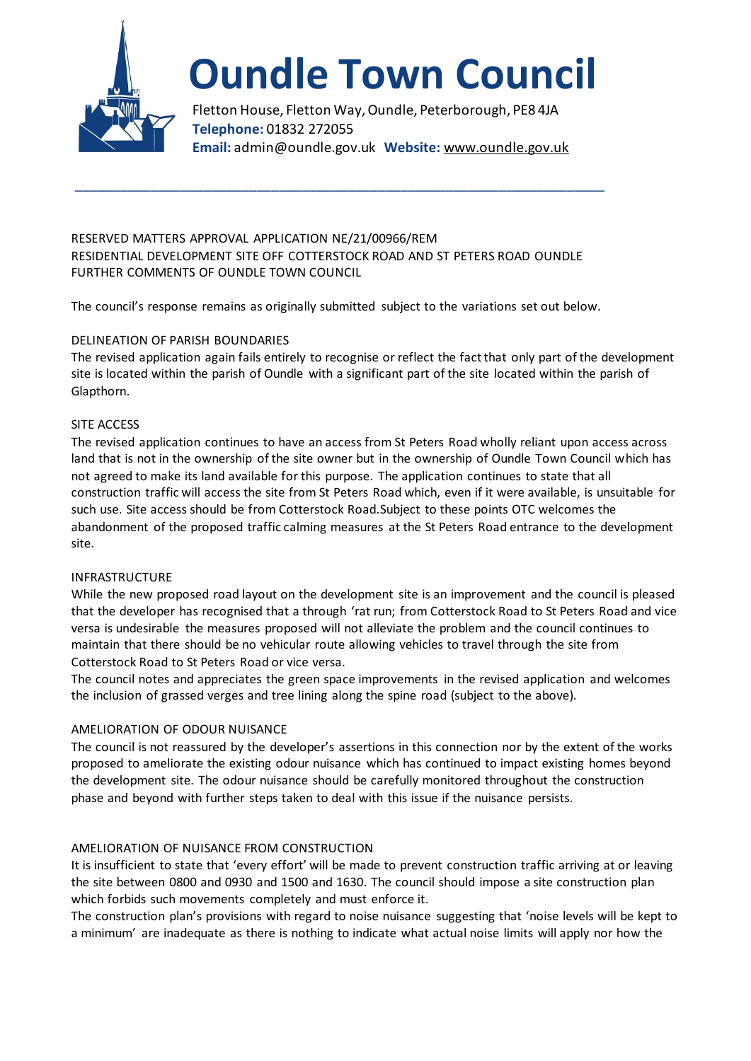

# **Oundle Town Council**

Fletton House, Fletton Way, Oundle, Peterborough, PE8 4JA **Telephone:** 01832 272055 **Email:** admin@oundle.gov.uk **Website:** www.oundle.gov.uk

RESERVED MATTERS APPROVAL APPLICATION NE/21/00966/REM RESIDENTIAL DEVELOPMENT SITE OFF COTTERSTOCK ROAD AND ST PETERS ROAD OUNDLE FURTHER COMMENTS OF OUNDLE TOWN COUNCIL

\_\_\_\_\_\_\_\_\_\_\_\_\_\_\_\_\_\_\_\_\_\_\_\_\_\_\_\_\_\_\_\_\_\_\_\_\_\_\_\_\_\_\_\_\_\_\_\_\_\_\_\_\_\_\_\_\_\_\_\_\_\_\_\_\_\_\_\_\_\_

The council's response remains as originally submitted subject to the variations set out below.

## DELINEATION OF PARISH BOUNDARIES

The revised application again fails entirely to recognise or reflect the fact that only part of the development site is located within the parish of Oundle with a significant part of the site located within the parish of Glapthorn.

### SITE ACCESS

The revised application continues to have an access from St Peters Road wholly reliant upon access across land that is not in the ownership of the site owner but in the ownership of Oundle Town Council which has not agreed to make its land available for this purpose. The application continues to state that all construction traffic will access the site from St Peters Road which, even if it were available, is unsuitable for such use. Site access should be from Cotterstock Road.Subject to these points OTC welcomes the abandonment of the proposed traffic calming measures at the St Peters Road entrance to the development site.

### INFRASTRUCTURE

While the new proposed road layout on the development site is an improvement and the council is pleased that the developer has recognised that a through 'rat run; from Cotterstock Road to St Peters Road and vice versa is undesirable the measures proposed will not alleviate the problem and the council continues to maintain that there should be no vehicular route allowing vehicles to travel through the site from Cotterstock Road to St Peters Road or vice versa.

The council notes and appreciates the green space improvements in the revised application and welcomes the inclusion of grassed verges and tree lining along the spine road (subject to the above).

### AMELIORATION OF ODOUR NUISANCE

The council is not reassured by the developer's assertions in this connection nor by the extent of the works proposed to ameliorate the existing odour nuisance which has continued to impact existing homes beyond the development site. The odour nuisance should be carefully monitored throughout the construction phase and beyond with further steps taken to deal with this issue if the nuisance persists.

### AMELIORATION OF NUISANCE FROM CONSTRUCTION

It is insufficient to state that 'every effort' will be made to prevent construction traffic arriving at or leaving the site between 0800 and 0930 and 1500 and 1630. The council should impose a site construction plan which forbids such movements completely and must enforce it.

The construction plan's provisions with regard to noise nuisance suggesting that 'noise levels will be kept to a minimum' are inadequate as there is nothing to indicate what actual noise limits will apply nor how the